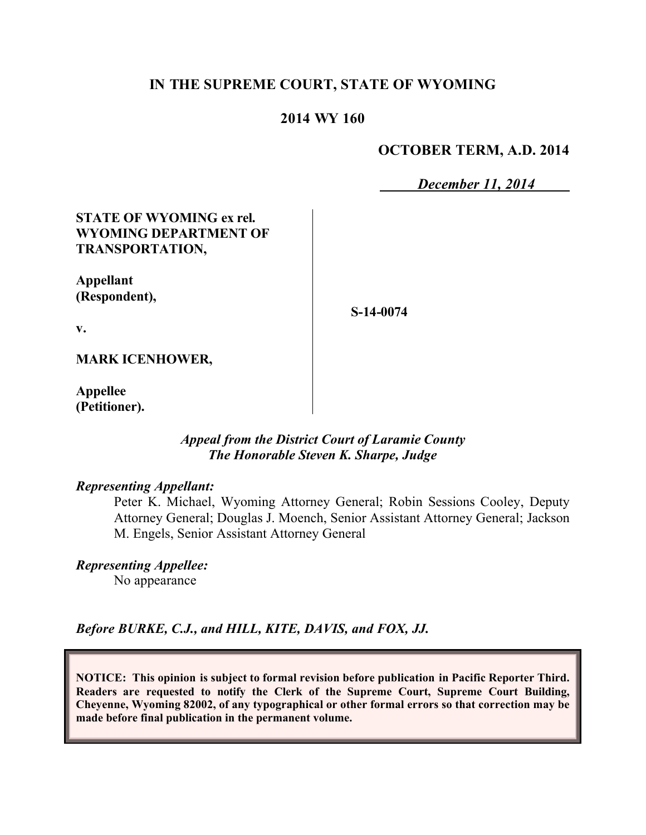## **IN THE SUPREME COURT, STATE OF WYOMING**

### **2014 WY 160**

### **OCTOBER TERM, A.D. 2014**

*December 11, 2014*

### **STATE OF WYOMING ex rel. WYOMING DEPARTMENT OF TRANSPORTATION,**

**Appellant (Respondent),**

**S-14-0074**

**v.**

#### **MARK ICENHOWER,**

**Appellee (Petitioner).**

### *Appeal from the District Court of Laramie County The Honorable Steven K. Sharpe, Judge*

### *Representing Appellant:*

Peter K. Michael, Wyoming Attorney General; Robin Sessions Cooley, Deputy Attorney General; Douglas J. Moench, Senior Assistant Attorney General; Jackson M. Engels, Senior Assistant Attorney General

*Representing Appellee:*

No appearance

*Before BURKE, C.J., and HILL, KITE, DAVIS, and FOX, JJ.*

**NOTICE: This opinion is subject to formal revision before publication in Pacific Reporter Third. Readers are requested to notify the Clerk of the Supreme Court, Supreme Court Building, Cheyenne, Wyoming 82002, of any typographical or other formal errors so that correction may be made before final publication in the permanent volume.**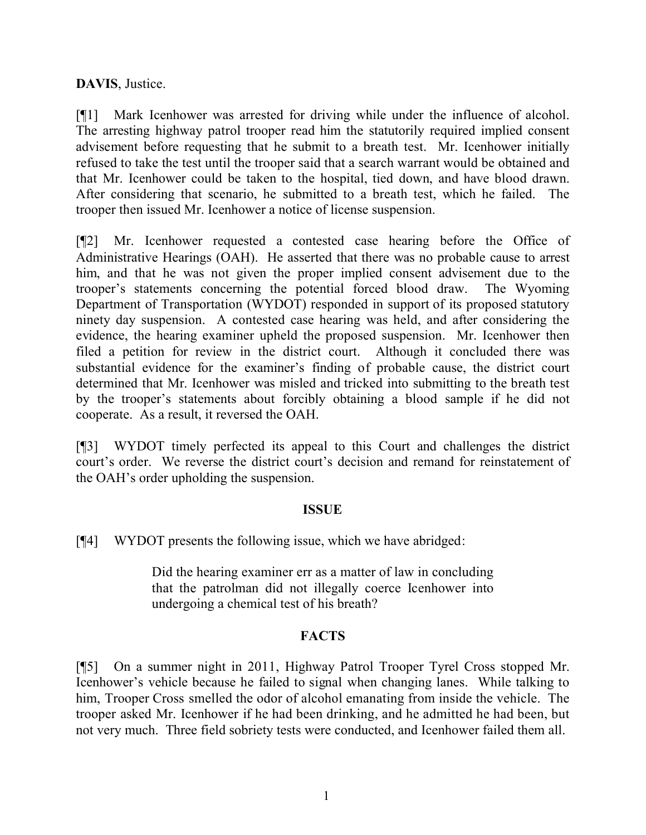# **DAVIS**, Justice.

[¶1] Mark Icenhower was arrested for driving while under the influence of alcohol. The arresting highway patrol trooper read him the statutorily required implied consent advisement before requesting that he submit to a breath test. Mr. Icenhower initially refused to take the test until the trooper said that a search warrant would be obtained and that Mr. Icenhower could be taken to the hospital, tied down, and have blood drawn. After considering that scenario, he submitted to a breath test, which he failed. The trooper then issued Mr. Icenhower a notice of license suspension.

[¶2] Mr. Icenhower requested a contested case hearing before the Office of Administrative Hearings (OAH). He asserted that there was no probable cause to arrest him, and that he was not given the proper implied consent advisement due to the trooper's statements concerning the potential forced blood draw. The Wyoming Department of Transportation (WYDOT) responded in support of its proposed statutory ninety day suspension. A contested case hearing was held, and after considering the evidence, the hearing examiner upheld the proposed suspension. Mr. Icenhower then filed a petition for review in the district court. Although it concluded there was substantial evidence for the examiner's finding of probable cause, the district court determined that Mr. Icenhower was misled and tricked into submitting to the breath test by the trooper's statements about forcibly obtaining a blood sample if he did not cooperate. As a result, it reversed the OAH.

[¶3] WYDOT timely perfected its appeal to this Court and challenges the district court's order. We reverse the district court's decision and remand for reinstatement of the OAH's order upholding the suspension.

## **ISSUE**

[¶4] WYDOT presents the following issue, which we have abridged:

Did the hearing examiner err as a matter of law in concluding that the patrolman did not illegally coerce Icenhower into undergoing a chemical test of his breath?

## **FACTS**

[¶5] On a summer night in 2011, Highway Patrol Trooper Tyrel Cross stopped Mr. Icenhower's vehicle because he failed to signal when changing lanes. While talking to him, Trooper Cross smelled the odor of alcohol emanating from inside the vehicle. The trooper asked Mr. Icenhower if he had been drinking, and he admitted he had been, but not very much. Three field sobriety tests were conducted, and Icenhower failed them all.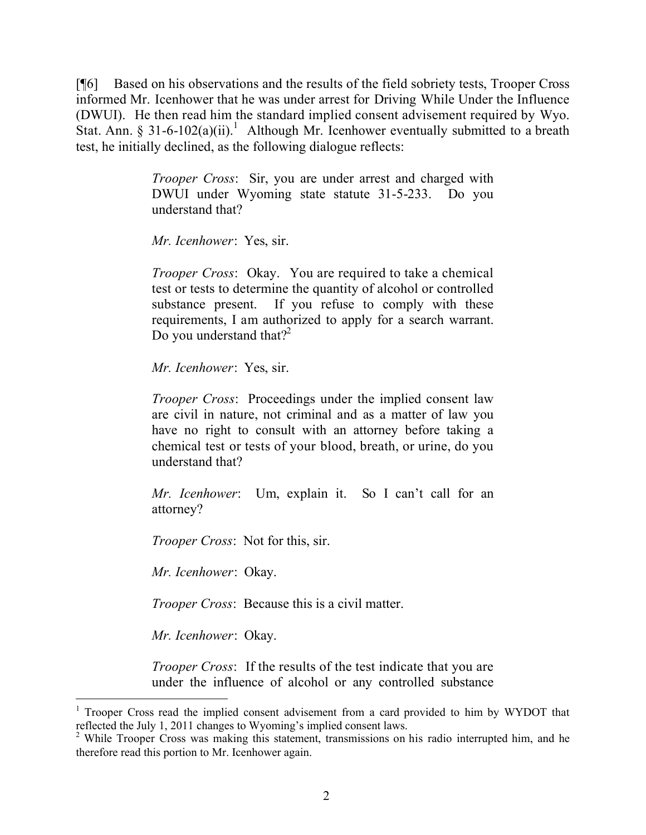[¶6] Based on his observations and the results of the field sobriety tests, Trooper Cross informed Mr. Icenhower that he was under arrest for Driving While Under the Influence (DWUI). He then read him the standard implied consent advisement required by Wyo. Stat. Ann. § 31-6-102(a)(ii).<sup>1</sup> Although Mr. Icenhower eventually submitted to a breath test, he initially declined, as the following dialogue reflects:

> *Trooper Cross*: Sir, you are under arrest and charged with DWUI under Wyoming state statute 31-5-233. Do you understand that?

*Mr. Icenhower*: Yes, sir.

*Trooper Cross*: Okay. You are required to take a chemical test or tests to determine the quantity of alcohol or controlled substance present. If you refuse to comply with these requirements, I am authorized to apply for a search warrant. Do you understand that?<sup>2</sup>

*Mr. Icenhower*: Yes, sir.

*Trooper Cross*: Proceedings under the implied consent law are civil in nature, not criminal and as a matter of law you have no right to consult with an attorney before taking a chemical test or tests of your blood, breath, or urine, do you understand that?

*Mr. Icenhower*: Um, explain it. So I can't call for an attorney?

*Trooper Cross*: Not for this, sir.

*Mr. Icenhower*: Okay.

*Trooper Cross*: Because this is a civil matter.

*Mr. Icenhower*: Okay.

 $\overline{a}$ 

*Trooper Cross*: If the results of the test indicate that you are under the influence of alcohol or any controlled substance

<sup>1</sup> Trooper Cross read the implied consent advisement from a card provided to him by WYDOT that reflected the July 1, 2011 changes to Wyoming's implied consent laws.

<sup>&</sup>lt;sup>2</sup> While Trooper Cross was making this statement, transmissions on his radio interrupted him, and he therefore read this portion to Mr. Icenhower again.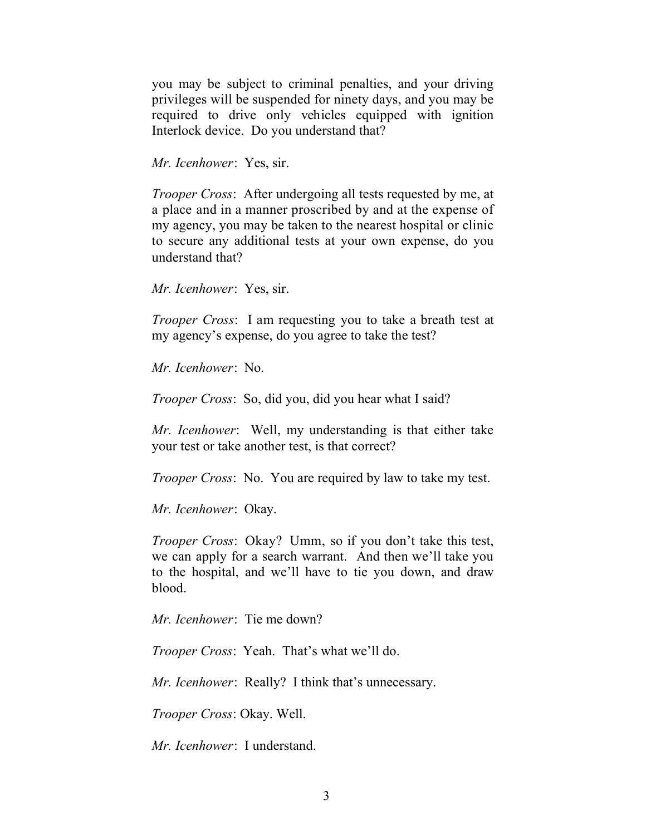you may be subject to criminal penalties, and your driving privileges will be suspended for ninety days, and you may be required to drive only vehicles equipped with ignition Interlock device. Do you understand that?

*Mr. Icenhower*: Yes, sir.

*Trooper Cross*: After undergoing all tests requested by me, at a place and in a manner proscribed by and at the expense of my agency, you may be taken to the nearest hospital or clinic to secure any additional tests at your own expense, do you understand that?

*Mr. Icenhower*: Yes, sir.

*Trooper Cross*: I am requesting you to take a breath test at my agency's expense, do you agree to take the test?

*Mr. Icenhower*: No.

*Trooper Cross*: So, did you, did you hear what I said?

*Mr. Icenhower*: Well, my understanding is that either take your test or take another test, is that correct?

*Trooper Cross*: No. You are required by law to take my test.

*Mr. Icenhower*: Okay.

*Trooper Cross*: Okay? Umm, so if you don't take this test, we can apply for a search warrant. And then we'll take you to the hospital, and we'll have to tie you down, and draw blood.

*Mr. Icenhower*: Tie me down?

*Trooper Cross*: Yeah. That's what we'll do.

*Mr. Icenhower*: Really? I think that's unnecessary.

*Trooper Cross*: Okay. Well.

*Mr. Icenhower*: I understand.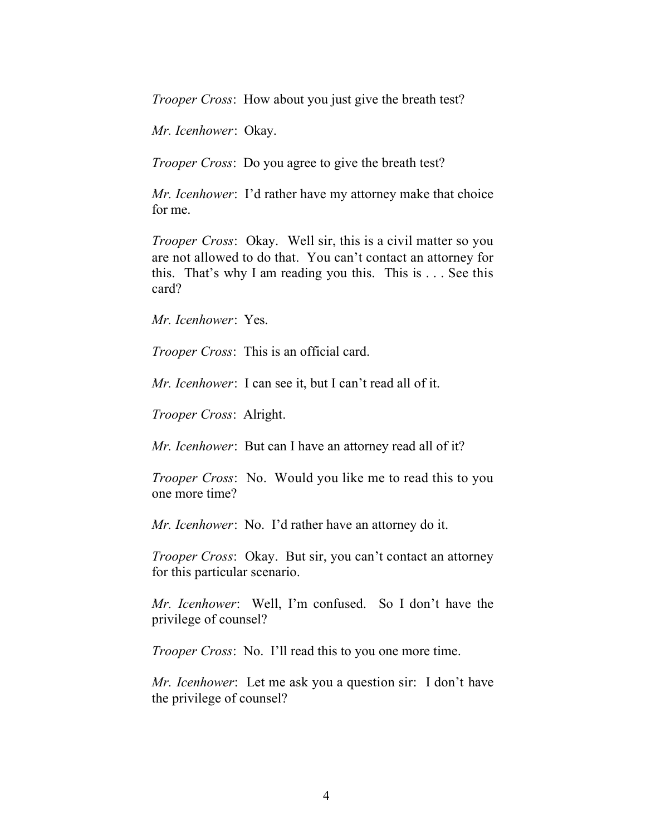*Trooper Cross*: How about you just give the breath test?

*Mr. Icenhower*: Okay.

*Trooper Cross*: Do you agree to give the breath test?

*Mr. Icenhower*: I'd rather have my attorney make that choice for me.

*Trooper Cross*: Okay. Well sir, this is a civil matter so you are not allowed to do that. You can't contact an attorney for this. That's why I am reading you this. This is . . . See this card?

*Mr. Icenhower*: Yes.

*Trooper Cross*: This is an official card.

*Mr. Icenhower*: I can see it, but I can't read all of it.

*Trooper Cross*: Alright.

*Mr. Icenhower*: But can I have an attorney read all of it?

*Trooper Cross*: No. Would you like me to read this to you one more time?

*Mr. Icenhower*: No. I'd rather have an attorney do it.

*Trooper Cross*: Okay. But sir, you can't contact an attorney for this particular scenario.

*Mr. Icenhower*: Well, I'm confused. So I don't have the privilege of counsel?

*Trooper Cross*: No. I'll read this to you one more time.

*Mr. Icenhower*: Let me ask you a question sir: I don't have the privilege of counsel?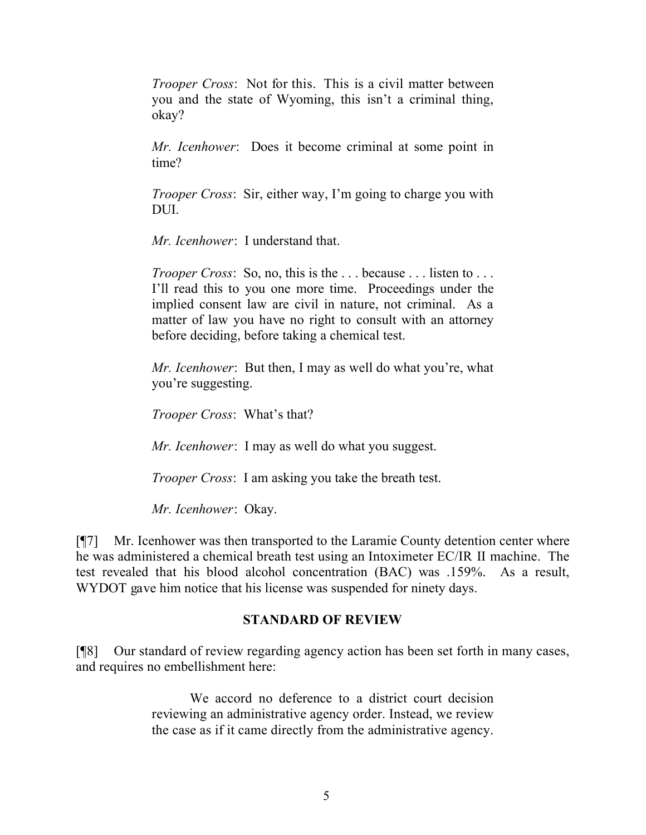*Trooper Cross*: Not for this. This is a civil matter between you and the state of Wyoming, this isn't a criminal thing, okay?

*Mr. Icenhower*: Does it become criminal at some point in time?

*Trooper Cross*: Sir, either way, I'm going to charge you with DUI.

*Mr. Icenhower*: I understand that.

*Trooper Cross*: So, no, this is the ... because ... listen to ... I'll read this to you one more time. Proceedings under the implied consent law are civil in nature, not criminal. As a matter of law you have no right to consult with an attorney before deciding, before taking a chemical test.

*Mr. Icenhower*: But then, I may as well do what you're, what you're suggesting.

*Trooper Cross*: What's that?

*Mr. Icenhower*: I may as well do what you suggest.

*Trooper Cross*: I am asking you take the breath test.

*Mr. Icenhower*: Okay.

[¶7] Mr. Icenhower was then transported to the Laramie County detention center where he was administered a chemical breath test using an Intoximeter EC/IR II machine. The test revealed that his blood alcohol concentration (BAC) was .159%. As a result, WYDOT gave him notice that his license was suspended for ninety days.

## **STANDARD OF REVIEW**

[¶8] Our standard of review regarding agency action has been set forth in many cases, and requires no embellishment here:

> We accord no deference to a district court decision reviewing an administrative agency order. Instead, we review the case as if it came directly from the administrative agency.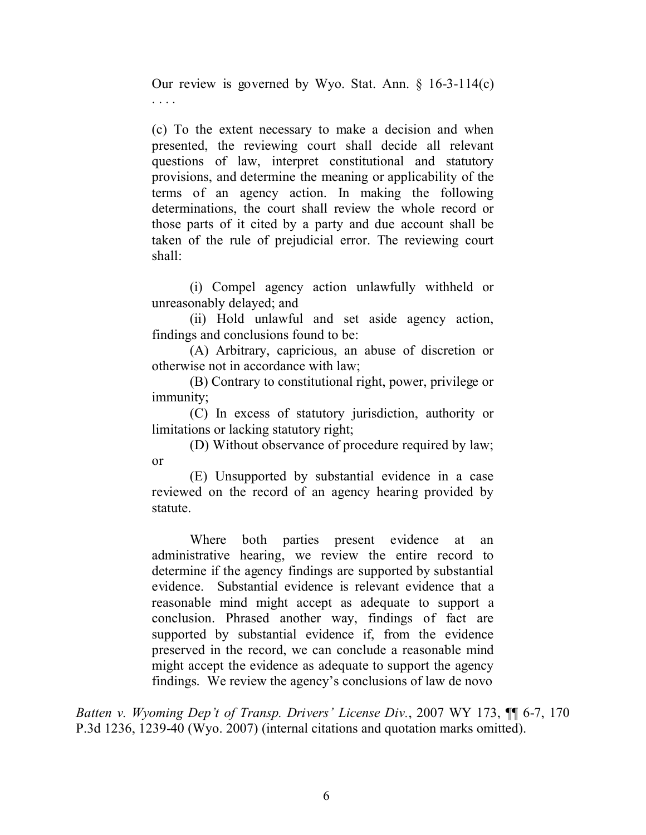Our review is governed by Wyo. Stat. Ann. § 16-3-114(c) . . . .

(c) To the extent necessary to make a decision and when presented, the reviewing court shall decide all relevant questions of law, interpret constitutional and statutory provisions, and determine the meaning or applicability of the terms of an agency action. In making the following determinations, the court shall review the whole record or those parts of it cited by a party and due account shall be taken of the rule of prejudicial error. The reviewing court shall:

(i) Compel agency action unlawfully withheld or unreasonably delayed; and

(ii) Hold unlawful and set aside agency action, findings and conclusions found to be:

(A) Arbitrary, capricious, an abuse of discretion or otherwise not in accordance with law;

(B) Contrary to constitutional right, power, privilege or immunity;

(C) In excess of statutory jurisdiction, authority or limitations or lacking statutory right;

(D) Without observance of procedure required by law; or

(E) Unsupported by substantial evidence in a case reviewed on the record of an agency hearing provided by statute.

Where both parties present evidence at an administrative hearing, we review the entire record to determine if the agency findings are supported by substantial evidence. Substantial evidence is relevant evidence that a reasonable mind might accept as adequate to support a conclusion. Phrased another way, findings of fact are supported by substantial evidence if, from the evidence preserved in the record, we can conclude a reasonable mind might accept the evidence as adequate to support the agency findings. We review the agency's conclusions of law de novo

*Batten v. Wyoming Dep't of Transp. Drivers' License Div.*, 2007 WY 173, ¶¶ 6-7, 170 P.3d 1236, 1239-40 (Wyo. 2007) (internal citations and quotation marks omitted).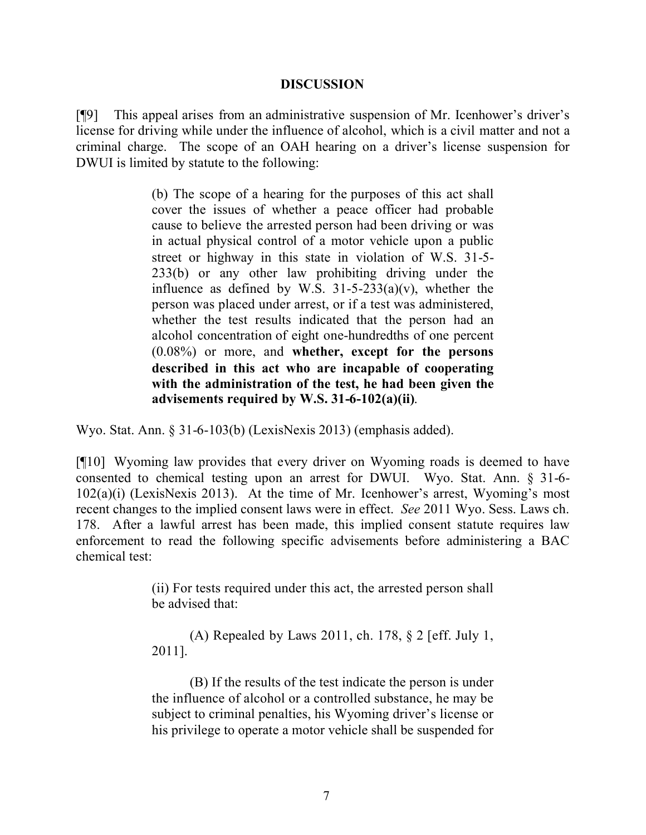### **DISCUSSION**

[¶9] This appeal arises from an administrative suspension of Mr. Icenhower's driver's license for driving while under the influence of alcohol, which is a civil matter and not a criminal charge. The scope of an OAH hearing on a driver's license suspension for DWUI is limited by statute to the following:

> (b) The scope of a hearing for the purposes of this act shall cover the issues of whether a peace officer had probable cause to believe the arrested person had been driving or was in actual physical control of a motor vehicle upon a public street or highway in this state in violation of W.S. 31-5- 233(b) or any other law prohibiting driving under the influence as defined by W.S.  $31-5-233(a)(v)$ , whether the person was placed under arrest, or if a test was administered, whether the test results indicated that the person had an alcohol concentration of eight one-hundredths of one percent (0.08%) or more, and **whether, except for the persons described in this act who are incapable of cooperating with the administration of the test, he had been given the advisements required by W.S. 31-6-102(a)(ii)**.

Wyo. Stat. Ann. § 31-6-103(b) (LexisNexis 2013) (emphasis added).

[¶10] Wyoming law provides that every driver on Wyoming roads is deemed to have consented to chemical testing upon an arrest for DWUI. Wyo. Stat. Ann. § 31-6- 102(a)(i) (LexisNexis 2013). At the time of Mr. Icenhower's arrest, Wyoming's most recent changes to the implied consent laws were in effect. *See* 2011 Wyo. Sess. Laws ch. 178. After a lawful arrest has been made, this implied consent statute requires law enforcement to read the following specific advisements before administering a BAC chemical test:

> (ii) For tests required under this act, the arrested person shall be advised that:

> (A) Repealed by Laws 2011, ch. 178, § 2 [eff. July 1, 2011].

> (B) If the results of the test indicate the person is under the influence of alcohol or a controlled substance, he may be subject to criminal penalties, his Wyoming driver's license or his privilege to operate a motor vehicle shall be suspended for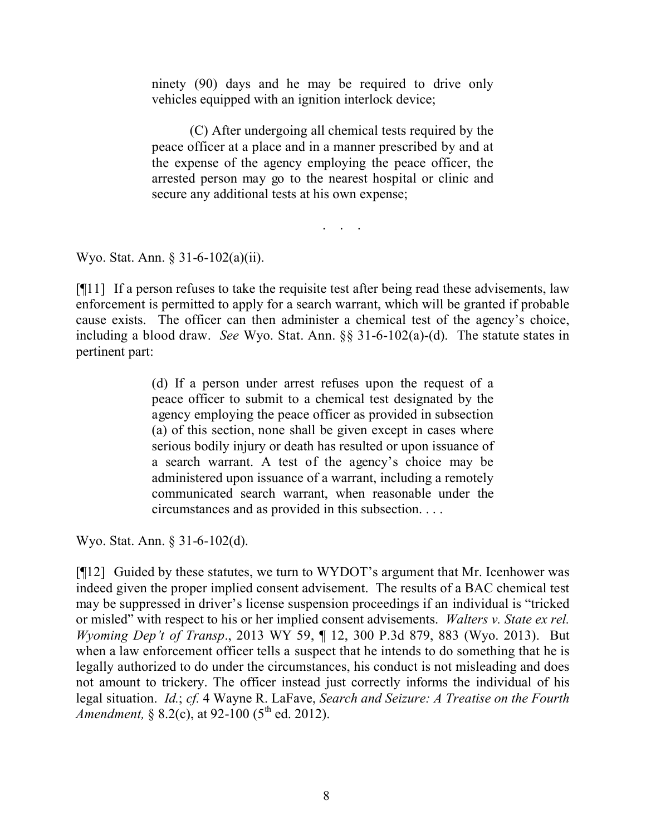ninety (90) days and he may be required to drive only vehicles equipped with an ignition interlock device;

(C) After undergoing all chemical tests required by the peace officer at a place and in a manner prescribed by and at the expense of the agency employing the peace officer, the arrested person may go to the nearest hospital or clinic and secure any additional tests at his own expense;

. . . .

Wyo. Stat. Ann. § 31-6-102(a)(ii).

[¶11] If a person refuses to take the requisite test after being read these advisements, law enforcement is permitted to apply for a search warrant, which will be granted if probable cause exists. The officer can then administer a chemical test of the agency's choice, including a blood draw. *See* Wyo. Stat. Ann. §§ 31-6-102(a)-(d). The statute states in pertinent part:

> (d) If a person under arrest refuses upon the request of a peace officer to submit to a chemical test designated by the agency employing the peace officer as provided in subsection (a) of this section, none shall be given except in cases where serious bodily injury or death has resulted or upon issuance of a search warrant. A test of the agency's choice may be administered upon issuance of a warrant, including a remotely communicated search warrant, when reasonable under the circumstances and as provided in this subsection. . . .

Wyo. Stat. Ann. § 31-6-102(d).

[¶12] Guided by these statutes, we turn to WYDOT's argument that Mr. Icenhower was indeed given the proper implied consent advisement. The results of a BAC chemical test may be suppressed in driver's license suspension proceedings if an individual is "tricked or misled" with respect to his or her implied consent advisements. *Walters v. State ex rel. Wyoming Dep't of Transp*., 2013 WY 59, ¶ 12, 300 P.3d 879, 883 (Wyo. 2013). But when a law enforcement officer tells a suspect that he intends to do something that he is legally authorized to do under the circumstances, his conduct is not misleading and does not amount to trickery. The officer instead just correctly informs the individual of his legal situation. *Id.*; *cf.* 4 Wayne R. LaFave, *Search and Seizure: A Treatise on the Fourth Amendment,*  $\frac{8}{3}$ ,  $\frac{2(c)}{c}$ , at 92-100 (5<sup>th</sup> ed. 2012).